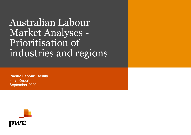Australian Labour Market Analyses - Prioritisation of industries and regions

**Pacific Labour Facility** Final Report September 2020

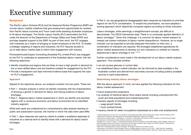#### **Background**

The Pacific Labour Scheme (PLS) and the Seasonal Worker Programme (SWP) are circular labour mobility initiatives that give employment opportunities for workers from Pacific Island countries and Timor-Leste while assisting Australian employers to fill labour shortages. The Pacific Labour Facility (PLF) administers the PLS under the direction of the Department of Foreign Affairs and Trade (DFAT) and provides targeted support to the SWP. As part of their remit, the PLF engages with industries as a means of bringing on board employers to the PLS. To enable a strategic targeting of regions and industries, the PLF requires access to up-to-date labour market data to inform their engagement with industry.

PricewaterhouseCoopers Consulting (Australia) Pty Limited (PwC) was engaged by the PLF to undertake an assessment of the Australian labour market, with the following objectives:

- Identify industries and regions that are likely to have a high growth in demand for low or semi-skilled labour and are therefore suitable for engagement by the PLF.
- Provide a transparent and data-informed evidence base that supports the case for PLF's engagement.

#### **Approach**

Aligned to the objectives above, our analysis is broken into two parts. These are:

- Part 1 Industry analysis in which we identify industries with the characteristics of showing a growth in demand for labour and having evidence of labour shortages.
- Part 2 Regional labour market assessment in which we identify and prioritise regions with a conducive economic and labour environment for an identified industry segment.

While both parts are underpinned by comprehensive data analysis drawing on public and subscription sources, the manner in which the data were used differ.

In Part 1, data measures are used as criteria to enable a qualitative appraisal of industries at a national level to identify those with a demand for labour and/or shortages.

In Part 2, we use geographical disaggregated data measures as indicators to prioritise regions for the PLFs consideration. To enable this prioritisation, we have adopted a scoring approach which objectively compares regions according to those indicators.

Labour shortages, while seemingly a straightforward concept, are difficult to demonstrate. The OECD themselves state *'There is no universally applied definition of*  labour shortages.<sup>,1</sup> Given this challenge, it is common for labour market research to instead use indirect indicators of labour market disequilibrium. However, as no single indicator can be expected to provide adequate information on their own, a combination of indicators are required. We leveraged established approaches for labour market assessments to develop our own indicators on whether an industry experienced a labour shortage or not. 2,3 4,5

Further considerations were made in the development of our labour market analysis approach. This included whether:

- we can access granular or current data
- an established labour market indicator can be informed by data available in the Australian context and derived from secondary sources including publicly available sources or paid subscriptions.

#### **Determining industry labour shortages**

With the above approach in mind, we have applied the following indicators for this labour market assessment:

- future employment projections
- an analysis of historical labour force status trends including unemployment (for youth and total population) and underemployment
- industry signals of shortages including:
	- wage growth trends
	- hours worked trends
- vacancy trends for select occupations (expressed as a ratio over employment).

PWC and the state of the state of the state of the state of the state of the state of the state of the state of the state of the state of the state of the state of the state of the state of the state of the state of the st 6 Richardson, Sue. What Is a Skill Shortage? [online]. *Australian Bulletin of Labour*, Vol. 35, No. 1, 2009: 326-354. Availability:

<sup>1</sup> OECD (Organisation for Economic Co-operation and Development) 2003, OECD employment outlook, OECD Publishing, Paris. 2 Workforce Connections Key approaches to Labor Market Assessment. March 2018. USAID

<sup>3</sup> Mavromaras, Kostas, Healy, J., Richardson, S., Sloane, P., Zhang Wei, and Rong Zhu (2013) A System for Monitoring Shortages and Surpluses in the Market for Skills, National Institute of Labour Studies.

<sup>4</sup> Iredale, R. R., Toner, P., Turpin, T., & Fernández-Esquinas, M. (2014). A Report on the APEC Region Labour Market: Evidence of Skills Shortages and General Trends in Employment and the Value of Better Labour Market Information Systems. Retrieved from http://publications.apec.org/publication-detail.php?pub\_id=1533

<sup>5</sup> MAC (2017) Assessing labour market shortages, UK Migration Advisory Committee, London.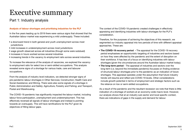### Part 1: Industry analysis

#### **Analysis of labour shortages and prioritising industries for the PLF**

In the five years leading up to 2019 there were various signs that showed that the Australian labour market was experiencing a mild undersupply. These included:

- a downward trend in both general and youth unemployment across most iurisdictions
- mild increases in underemployment across most jurisdictions
- wage growth observed across all industries (though some were subdued)
- increases in hours worked across several industries
- increasing trends in the vacancy to employment ratio across several industries.

To increase the relevance of the analysis of vacancies, we explored the vacancy to employment ratio for select low or semi-skilled occupations. This analysis revealed some signs of a shortage for various trade, care and labourer occupations.

From the analysis of industry level indicators, we detected stronger signs of pre-pandemic labour shortages in Other Services; Construction; Health Care and Social Assistance; and Mining. There were also some signals of a shortage in Public Administration and Safety; Agriculture, Forestry and Fishing; and Transport, Postal and Warehousing.

The COVID-19 pandemic has significantly impacted the labour market, including labour force participation, unemployment and underemployment. This has effectively reversed all signals of labour shortages and instead is pointing towards an oversupply. This will have ramifications for the PLF given its objectives of filling labour gaps.

The context of the COVID-19 pandemic created challenges in effectively appraising and identifying industries with labour shortages for the PLF's consideration.

Therefore, for the purposes of achieving the objectives of this research, we segmented our industry appraisal into two periods of time with different appraisal approaches. These are:

- **The COVID-19 recovery period** The appraisal for the COVID-19 recovery period emphasises an opportunistic targeting of industries and sectors based on how they were affected by the pandemic and the extent of disruption on their workforce. It has less of a focus on identifying industries with labour shortages (given the circumstances around the Australian labour market today).
- **The long-term period** The appraisal of industries and sectors over the long-term (i.e. beyond the immediate pandemic) focusses on finding evidence of structural labour shortages prior to the pandemic as an indication of future shortages. This appraisal operates under the assumption that future industry trends will resume and reflect pre-COVID-19 levels. Other considerations include growth potential in terms of employment and strategic factors such as the reliance on low or semi-skilled occupations.

As a result of the pandemic and the resultant recession we note that there is little indication of a shortage of workers at an economy-wide macro level. However, our analysis shows that at an industry sub-sector and local specific context, there are indications of gaps in the supply and demand for labour.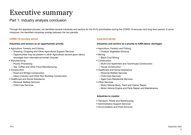### Part 1: Industry analysis conclusion

Through the appraisal process, we identified several industries and sectors for the PLFs prioritisation during the COVID-19 recovery and long-term period. In some instances, the identified industries overlap between the two periods.

#### **COVID-19 recovery period**

#### **Industries and sectors as an opportunistic priority**

- Agriculture, Forestry and Fishing
	- Shearing, Cropping and Other Agricultural Support Services
	- Opportunities may be present in other Agricultural sectors given labour shortages from international border closures
- Manufacturing
	- Poultry Processing
	- Tea, Coffee and Other Food Manufacturing
- Construction
	- Road and Bridge Construction
	- Heavy Industry and Other Non-Building Construction
- Healthcare and Social Assistance
	- Personal Welfare Services
	- Child Care Services.

#### **Long term period**

#### **Industries and sectors as a priority to fulfill labour shortages**

- Agriculture, Forestry and Fishing
	- Outdoor Vegetable Growing
- Mining
	- Black Coal Mining
- Construction
	- Multi-Unit Apartment and Townhouse Construction
	- House Construction
- Healthcare and Social Assistance
	- Personal Welfare Services
	- Child Care Services
	- Aged Care Residential Services
- Other Services
	- Motor Vehicle Body, Paint and Interior Repair
	- Motor Vehicle Engine and Parts Repair and Maintenance

#### **Industries to monitor**

- Transport, Postal and Warehousing
- Administrative Support Services
- Accomodation and Food Services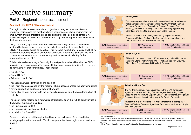### Part 2 - Regional labour assessment

#### **Appraisal - the COVID-19 recovery period**

The regional labour assessment is an objective scoring tool that identifies and prioritises regions with the most conducive economic and labour environment for employment and are therefore strong candidates for the PLF's consideration. A conducive region is one with a combination of high industry growth and weakness in the local labour supply.

Using the scoring approach, we identified a subset of regions that consistently achieved high scores for as many of the industries and sectors identified in the COVID-19 recovery period as possible. This included Agriculture, Forestry and Fishing, Food Manufacturing, Heavy Construction and Social Assistance Services. We also broadened our search to capture other agricultural sectors to identify further opportunities for the PLF.

This holistic review of a region's activity for multiple industries will enable the PLF to maximise their engagements.The regional labour assessment identified three regions as conducive for those industries. These include:

- Griffith, NSW
- Swan Hill, VIC
- Adelaide North, SA\*

These regions were identified on the basis of:

- their high scores assigned by the regional labour assessment for the above industries
- having supporting evidence of labour shortages
- being able to form gateways to the surrounding regions, and therefore form a hub of activity.

The use of these regions as a hub would strategically open the PLF to opportunities in the broader surrounds including:

- the Riverina (via Griffith)
- the Barossa (via Northern Adelaide)
- the Mallee (via Swan Hill).

Research undertaken at the region level has shown evidence of structural labour shortages prior to the pandemic. This further promotes these regions as a priority for the PLF.



#### **Griffith, NSW**

This region appears in the top 10 for several agricultural industries including Cotton Growing,Cotton Ginning, Poultry Meat Farming Shearing, Cropping and Agricultural Support Services, Grape Growing, Stone Fruit Growing, Citrus Fruit Growing, Egg Farming, Other Fruit and Tree Nut Growing, Beef Cattle Feedlots

It is also in the top 5 of the highest scoring regions for Poultry Processing (Baiada Poultry is the Riverina's largest employer) and Tea, Coffee and Other Food Manufacturing.

**3,484** employed in Agriculture Forestry and Fishing **3,577** employed in Manufacturing **1,922** employed in Healthcare and Social Assistance



#### **Swan Hill, VIC**

This region appears in the top 10 for several agricultural industries including Stone Fruit Growing, Other Fruit and Tree Nut Growing, Floriculture Production and Citrus Fruit Growing.

**1,455** employed in Agriculture Forestry and Fishing

**1,014** employed in Manufacturing

**1,375** employed in Healthcare and Social Assistance



#### **Adelaide - North, SA**

The Northern Adelaide region is ranked in the top 10 for several agricultural sectors including Outdoor Vegetable Growing, Shearing, Cropping and Agricultural Support Services and Undercover Vegetable Growing. It is also the within the top 10 for Poultry Processing.

Adjacent to it is the Adelaide Hills region that ranks in the top 10 for Personal Welfare Services, Aged Care Residential services and Apple and Pear Growing.

**3,557** employed in Agriculture Forestry and Fishing

**24,095** employed in **Manufacturing** 

**34,570** employed in Healthcare and Social Assistance\*\*

Data current as of 2017

\*Note: While the analysis identified Adelaide-North as a priority region we note that its proximity to a larger metropolitan population base may pose a risk as identified employment opportunities may more easily be addressed by people outside the region.

\*\* Note: This is inflated by the presence of metropolitan hospitals captured in this region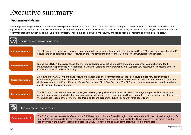### Recommendations

We strongly encourage the PLF to undertake its own prioritisation of effort based on the data provided in this report. This can include broader considerations of the objectives for the PLS and SWP as well as their end-of-program outcomes (none of which are the subject of this analysis). We have, however, developed a number of recommendations to further guide the PLF's future strategy. These have been grouped into industry and region recommendations and were detailed below.

| Industry recommendations |                                                                                                                                                                                                                                                                                                                                                                                                                                                          |
|--------------------------|----------------------------------------------------------------------------------------------------------------------------------------------------------------------------------------------------------------------------------------------------------------------------------------------------------------------------------------------------------------------------------------------------------------------------------------------------------|
| <b>Recommendation 1</b>  | The PLF should stage its approach and engagement with industry into two periods. The first is the COVID-19 recovery period where the PLF<br>should take an opportunistic focus, followed by the long-term period where the PLF looks to fill structural labour shortages.                                                                                                                                                                                |
| <b>Recommendation 2</b>  | During the COVID-19 recovery phase, the PLF should leverage its existing strengths and current presence in agriculture and food<br>manufacturing. Opportunities were identified in Shearing, Cropping and Other Agricultural Support Services, Poultry Processing and Tea,<br>Coffee and Other Food Manufacturing.                                                                                                                                       |
| <b>Recommendation 3</b>  | Also during the COVID-19 period and following the application of Recommendation 2, the PLF should explore new opportunities in<br>Construction (in particular Road and Bridge Construction and Heavy Industry and Other Non-Building Construction) and Health Care and<br>Social Assistance (specifically Personal Welfare Services and Child Care Services). The PLF should note some risks for these industries and<br>should manage them accordingly. |
| <b>Recommendation 4</b>  | The PLF should lay the foundation for the long-term by engaging with the industries identified in the long-term period. This can include<br>consultations to confirm whether the occupations in shortage prior to the pandemic are likely to return to be in-demand and what (if any) are<br>the challenges to recruit them. The PLF can then plan for and prepare the future Pacific workforce accordingly.                                             |
| Region recommendation    |                                                                                                                                                                                                                                                                                                                                                                                                                                                          |

**Recommendation 5**

The PLF should concentrate its efforts on the Griffith region of NSW, the Swan Hill region of Victoria and the Northern Adelaide region of SA (noting that Northern Adelaide has a higher degree of risk from competing labour from Adelaide). These regions will likely maximise the opportunities in the industries identified under the COVID-19 period and can also form gateways to surrounding areas.